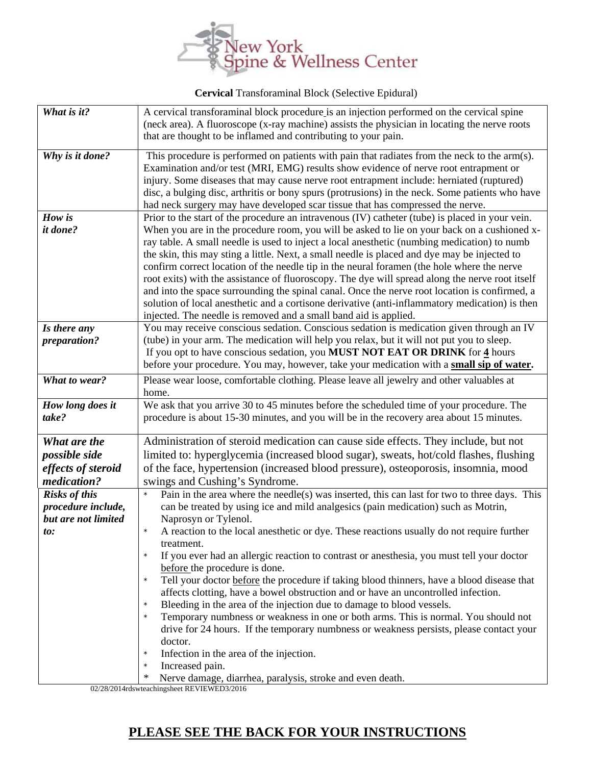

 **Cervical** Transforaminal Block (Selective Epidural)

| A cervical transforaminal block procedure is an injection performed on the cervical spine<br>(neck area). A fluoroscope (x-ray machine) assists the physician in locating the nerve roots<br>that are thought to be inflamed and contributing to your pain.                                                                                                                                                                                                                                                                                                                                                                                                                                                                                                                                                                                                                                                                                                                                                                                                                                                                                                                                                                                                                                                                           |
|---------------------------------------------------------------------------------------------------------------------------------------------------------------------------------------------------------------------------------------------------------------------------------------------------------------------------------------------------------------------------------------------------------------------------------------------------------------------------------------------------------------------------------------------------------------------------------------------------------------------------------------------------------------------------------------------------------------------------------------------------------------------------------------------------------------------------------------------------------------------------------------------------------------------------------------------------------------------------------------------------------------------------------------------------------------------------------------------------------------------------------------------------------------------------------------------------------------------------------------------------------------------------------------------------------------------------------------|
| This procedure is performed on patients with pain that radiates from the neck to the arm(s).<br>Examination and/or test (MRI, EMG) results show evidence of nerve root entrapment or<br>injury. Some diseases that may cause nerve root entrapment include: herniated (ruptured)<br>disc, a bulging disc, arthritis or bony spurs (protrusions) in the neck. Some patients who have<br>had neck surgery may have developed scar tissue that has compressed the nerve.                                                                                                                                                                                                                                                                                                                                                                                                                                                                                                                                                                                                                                                                                                                                                                                                                                                                 |
| Prior to the start of the procedure an intravenous (IV) catheter (tube) is placed in your vein.<br>When you are in the procedure room, you will be asked to lie on your back on a cushioned x-<br>ray table. A small needle is used to inject a local anesthetic (numbing medication) to numb<br>the skin, this may sting a little. Next, a small needle is placed and dye may be injected to<br>confirm correct location of the needle tip in the neural foramen (the hole where the nerve<br>root exits) with the assistance of fluoroscopy. The dye will spread along the nerve root itself<br>and into the space surrounding the spinal canal. Once the nerve root location is confirmed, a<br>solution of local anesthetic and a cortisone derivative (anti-inflammatory medication) is then<br>injected. The needle is removed and a small band aid is applied.                                                                                                                                                                                                                                                                                                                                                                                                                                                                 |
| You may receive conscious sedation. Conscious sedation is medication given through an IV<br>(tube) in your arm. The medication will help you relax, but it will not put you to sleep.<br>If you opt to have conscious sedation, you MUST NOT EAT OR DRINK for 4 hours<br>before your procedure. You may, however, take your medication with a small sip of water.                                                                                                                                                                                                                                                                                                                                                                                                                                                                                                                                                                                                                                                                                                                                                                                                                                                                                                                                                                     |
| Please wear loose, comfortable clothing. Please leave all jewelry and other valuables at<br>home.                                                                                                                                                                                                                                                                                                                                                                                                                                                                                                                                                                                                                                                                                                                                                                                                                                                                                                                                                                                                                                                                                                                                                                                                                                     |
| We ask that you arrive 30 to 45 minutes before the scheduled time of your procedure. The<br>procedure is about 15-30 minutes, and you will be in the recovery area about 15 minutes.                                                                                                                                                                                                                                                                                                                                                                                                                                                                                                                                                                                                                                                                                                                                                                                                                                                                                                                                                                                                                                                                                                                                                  |
| Administration of steroid medication can cause side effects. They include, but not<br>limited to: hyperglycemia (increased blood sugar), sweats, hot/cold flashes, flushing<br>of the face, hypertension (increased blood pressure), osteoporosis, insomnia, mood<br>swings and Cushing's Syndrome.<br>Pain in the area where the needle(s) was inserted, this can last for two to three days. This<br>can be treated by using ice and mild analgesics (pain medication) such as Motrin,<br>Naprosyn or Tylenol.<br>A reaction to the local anesthetic or dye. These reactions usually do not require further<br>treatment.<br>If you ever had an allergic reaction to contrast or anesthesia, you must tell your doctor<br>before the procedure is done.<br>Tell your doctor before the procedure if taking blood thinners, have a blood disease that<br>$\star$<br>affects clotting, have a bowel obstruction and or have an uncontrolled infection.<br>Bleeding in the area of the injection due to damage to blood vessels.<br>$\star$<br>Temporary numbness or weakness in one or both arms. This is normal. You should not<br>$\star$<br>drive for 24 hours. If the temporary numbness or weakness persists, please contact your<br>doctor.<br>Infection in the area of the injection.<br>$\star$<br>Increased pain.<br>$\star$ |
| $\ast$                                                                                                                                                                                                                                                                                                                                                                                                                                                                                                                                                                                                                                                                                                                                                                                                                                                                                                                                                                                                                                                                                                                                                                                                                                                                                                                                |

02/28/2014rdswteachingsheet REVIEWED3/2016

## **PLEASE SEE THE BACK FOR YOUR INSTRUCTIONS**